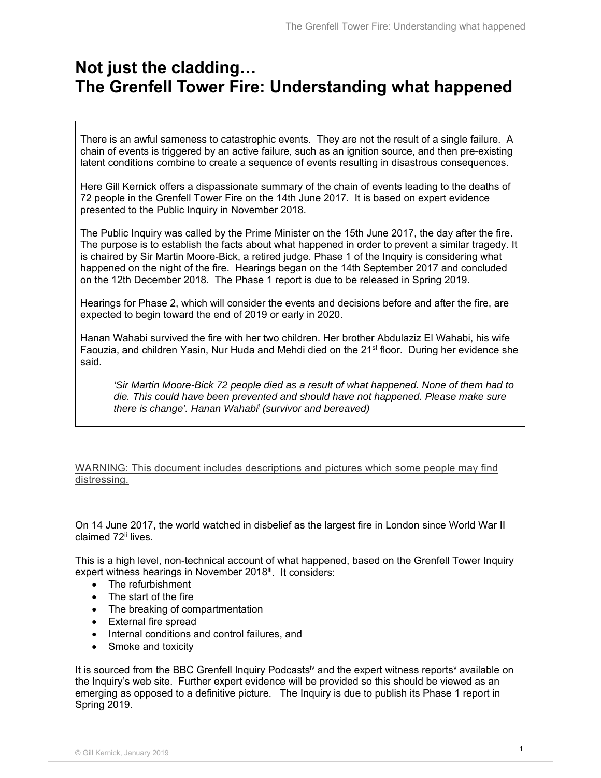# **Not just the cladding… The Grenfell Tower Fire: Understanding what happened**

There is an awful sameness to catastrophic events. They are not the result of a single failure. A chain of events is triggered by an active failure, such as an ignition source, and then pre-existing latent conditions combine to create a sequence of events resulting in disastrous consequences.

Here Gill Kernick offers a dispassionate summary of the chain of events leading to the deaths of 72 people in the Grenfell Tower Fire on the 14th June 2017. It is based on expert evidence presented to the Public Inquiry in November 2018.

The Public Inquiry was called by the Prime Minister on the 15th June 2017, the day after the fire. The purpose is to establish the facts about what happened in order to prevent a similar tragedy. It is chaired by Sir Martin Moore-Bick, a retired judge. Phase 1 of the Inquiry is considering what happened on the night of the fire. Hearings began on the 14th September 2017 and concluded on the 12th December 2018. The Phase 1 report is due to be released in Spring 2019.

Hearings for Phase 2, which will consider the events and decisions before and after the fire, are expected to begin toward the end of 2019 or early in 2020.

Hanan Wahabi survived the fire with her two children. Her brother Abdulaziz El Wahabi, his wife Faouzia, and children Yasin, Nur Huda and Mehdi died on the 21<sup>st</sup> floor. During her evidence she said.

*'Sir Martin Moore-Bick 72 people died as a result of what happened. None of them had to die. This could have been prevented and should have not happened. Please make sure there is change'. Hanan Wahabii (survivor and bereaved)* 

WARNING: This document includes descriptions and pictures which some people may find distressing.

On 14 June 2017, the world watched in disbelief as the largest fire in London since World War II claimed 72<sup>ii</sup> lives.

This is a high level, non-technical account of what happened, based on the Grenfell Tower Inquiry expert witness hearings in November 2018<sup>ii</sup>. It considers:

- The refurbishment
- The start of the fire
- The breaking of compartmentation
- External fire spread
- Internal conditions and control failures, and
- Smoke and toxicity

It is sourced from the BBC Grenfell Inquiry Podcasts<sup>iv</sup> and the expert witness reports<sup>v</sup> available on the Inquiry's web site. Further expert evidence will be provided so this should be viewed as an emerging as opposed to a definitive picture. The Inquiry is due to publish its Phase 1 report in Spring 2019.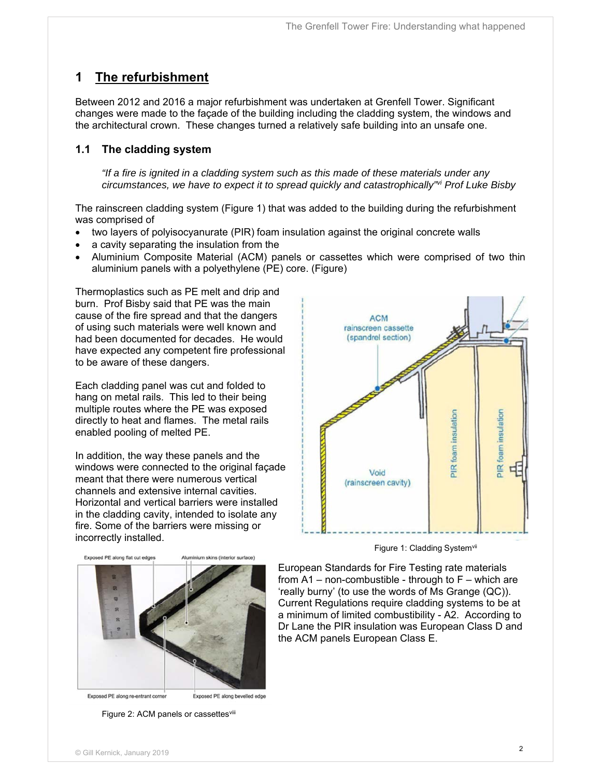## **1 The refurbishment**

Between 2012 and 2016 a major refurbishment was undertaken at Grenfell Tower. Significant changes were made to the façade of the building including the cladding system, the windows and the architectural crown. These changes turned a relatively safe building into an unsafe one.

### **1.1 The cladding system**

*"If a fire is ignited in a cladding system such as this made of these materials under any circumstances, we have to expect it to spread quickly and catastrophically"vi Prof Luke Bisby*

The rainscreen cladding system (Figure 1) that was added to the building during the refurbishment was comprised of

- two layers of polyisocyanurate (PIR) foam insulation against the original concrete walls
- a cavity separating the insulation from the
- Aluminium Composite Material (ACM) panels or cassettes which were comprised of two thin aluminium panels with a polyethylene (PE) core. (Figure)

Thermoplastics such as PE melt and drip and burn. Prof Bisby said that PE was the main cause of the fire spread and that the dangers of using such materials were well known and had been documented for decades. He would have expected any competent fire professional to be aware of these dangers.

Each cladding panel was cut and folded to hang on metal rails. This led to their being multiple routes where the PE was exposed directly to heat and flames. The metal rails enabled pooling of melted PE.

In addition, the way these panels and the windows were connected to the original façade meant that there were numerous vertical channels and extensive internal cavities. Horizontal and vertical barriers were installed in the cladding cavity, intended to isolate any fire. Some of the barriers were missing or incorrectly installed.



Exposed PE along re-entrant corner

Exposed PE along bevelled edge

Figure 2: ACM panels or cassettesviii



Figure 1: Cladding Systemvil

European Standards for Fire Testing rate materials from  $A1$  – non-combustible - through to  $F$  – which are 'really burny' (to use the words of Ms Grange (QC)). Current Regulations require cladding systems to be at a minimum of limited combustibility - A2. According to Dr Lane the PIR insulation was European Class D and the ACM panels European Class E.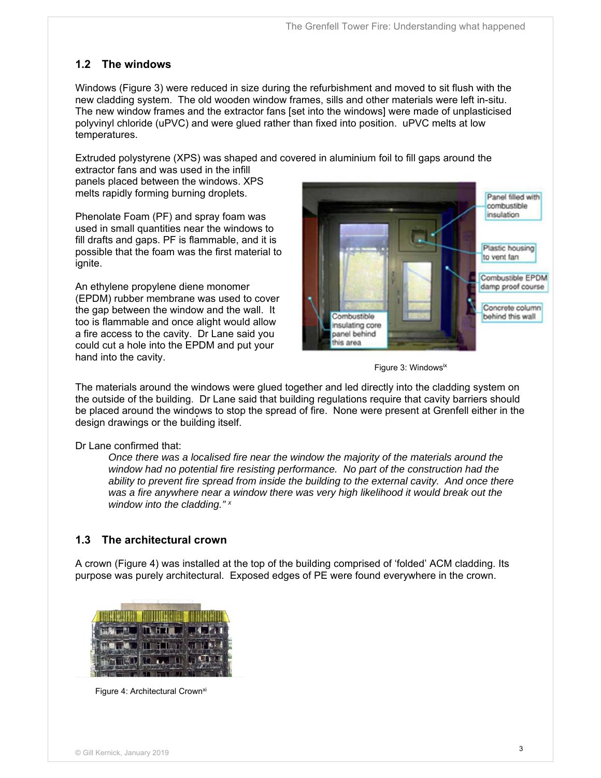#### **1.2 The windows**

Windows (Figure 3) were reduced in size during the refurbishment and moved to sit flush with the new cladding system. The old wooden window frames, sills and other materials were left in-situ. The new window frames and the extractor fans [set into the windows] were made of unplasticised polyvinyl chloride (uPVC) and were glued rather than fixed into position. uPVC melts at low temperatures.

Extruded polystyrene (XPS) was shaped and covered in aluminium foil to fill gaps around the

extractor fans and was used in the infill panels placed between the windows. XPS melts rapidly forming burning droplets.

Phenolate Foam (PF) and spray foam was used in small quantities near the windows to fill drafts and gaps. PF is flammable, and it is possible that the foam was the first material to ignite.

An ethylene propylene diene monomer (EPDM) rubber membrane was used to cover the gap between the window and the wall. It too is flammable and once alight would allow a fire access to the cavity. Dr Lane said you could cut a hole into the EPDM and put your hand into the cavity.



Figure 3: Windowsix

The materials around the windows were glued together and led directly into the cladding system on the outside of the building. Dr Lane said that building regulations require that cavity barriers should be placed around the windows to stop the spread of fire. None were present at Grenfell either in the design drawings or the building itself.

Dr Lane confirmed that:

*Once there was a localised fire near the window the majority of the materials around the window had no potential fire resisting performance. No part of the construction had the ability to prevent fire spread from inside the building to the external cavity. And once there was a fire anywhere near a window there was very high likelihood it would break out the window into the cladding." x*

#### **1.3 The architectural crown**

A crown (Figure 4) was installed at the top of the building comprised of 'folded' ACM cladding. Its purpose was purely architectural. Exposed edges of PE were found everywhere in the crown.



Figure 4: Architectural Crown<sup>xi</sup>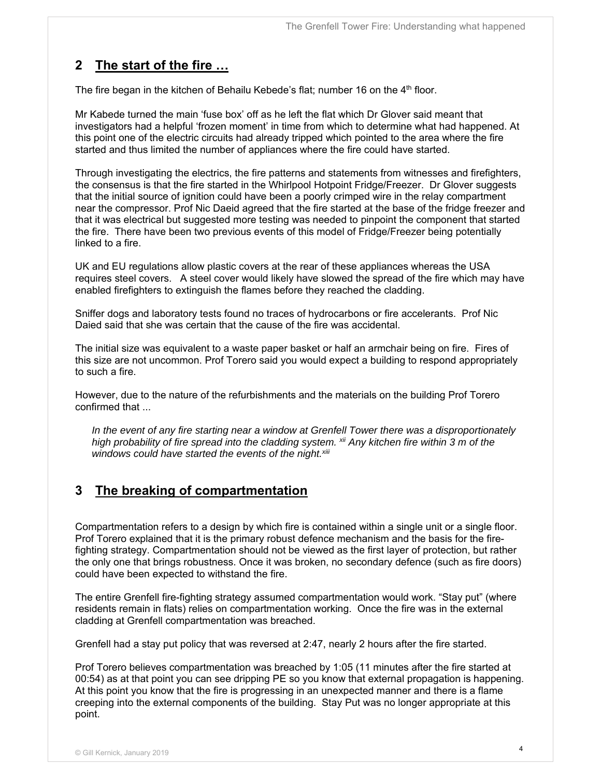## **2 The start of the fire …**

The fire began in the kitchen of Behailu Kebede's flat; number 16 on the 4<sup>th</sup> floor.

Mr Kabede turned the main 'fuse box' off as he left the flat which Dr Glover said meant that investigators had a helpful 'frozen moment' in time from which to determine what had happened. At this point one of the electric circuits had already tripped which pointed to the area where the fire started and thus limited the number of appliances where the fire could have started.

Through investigating the electrics, the fire patterns and statements from witnesses and firefighters, the consensus is that the fire started in the Whirlpool Hotpoint Fridge/Freezer. Dr Glover suggests that the initial source of ignition could have been a poorly crimped wire in the relay compartment near the compressor. Prof Nic Daeid agreed that the fire started at the base of the fridge freezer and that it was electrical but suggested more testing was needed to pinpoint the component that started the fire. There have been two previous events of this model of Fridge/Freezer being potentially linked to a fire.

UK and EU regulations allow plastic covers at the rear of these appliances whereas the USA requires steel covers. A steel cover would likely have slowed the spread of the fire which may have enabled firefighters to extinguish the flames before they reached the cladding.

Sniffer dogs and laboratory tests found no traces of hydrocarbons or fire accelerants. Prof Nic Daied said that she was certain that the cause of the fire was accidental.

The initial size was equivalent to a waste paper basket or half an armchair being on fire. Fires of this size are not uncommon. Prof Torero said you would expect a building to respond appropriately to such a fire.

However, due to the nature of the refurbishments and the materials on the building Prof Torero confirmed that ...

*In the event of any fire starting near a window at Grenfell Tower there was a disproportionately high probability of fire spread into the cladding system. xii Any kitchen fire within 3 m of the*  windows could have started the events of the night.<sup>xiii</sup>

## **3 The breaking of compartmentation**

Compartmentation refers to a design by which fire is contained within a single unit or a single floor. Prof Torero explained that it is the primary robust defence mechanism and the basis for the firefighting strategy. Compartmentation should not be viewed as the first layer of protection, but rather the only one that brings robustness. Once it was broken, no secondary defence (such as fire doors) could have been expected to withstand the fire.

The entire Grenfell fire-fighting strategy assumed compartmentation would work. "Stay put" (where residents remain in flats) relies on compartmentation working. Once the fire was in the external cladding at Grenfell compartmentation was breached.

Grenfell had a stay put policy that was reversed at 2:47, nearly 2 hours after the fire started.

Prof Torero believes compartmentation was breached by 1:05 (11 minutes after the fire started at 00:54) as at that point you can see dripping PE so you know that external propagation is happening. At this point you know that the fire is progressing in an unexpected manner and there is a flame creeping into the external components of the building. Stay Put was no longer appropriate at this point.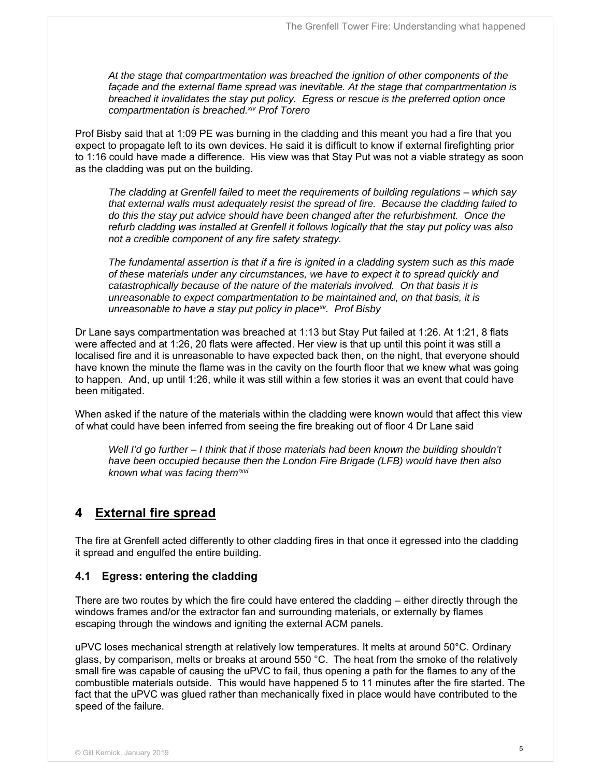*At the stage that compartmentation was breached the ignition of other components of the façade and the external flame spread was inevitable. At the stage that compartmentation is breached it invalidates the stay put policy. Egress or rescue is the preferred option once compartmentation is breached.xiv Prof Torero* 

Prof Bisby said that at 1:09 PE was burning in the cladding and this meant you had a fire that you expect to propagate left to its own devices. He said it is difficult to know if external firefighting prior to 1:16 could have made a difference. His view was that Stay Put was not a viable strategy as soon as the cladding was put on the building.

*The cladding at Grenfell failed to meet the requirements of building regulations – which say that external walls must adequately resist the spread of fire. Because the cladding failed to do this the stay put advice should have been changed after the refurbishment. Once the refurb cladding was installed at Grenfell it follows logically that the stay put policy was also not a credible component of any fire safety strategy.* 

*The fundamental assertion is that if a fire is ignited in a cladding system such as this made of these materials under any circumstances, we have to expect it to spread quickly and catastrophically because of the nature of the materials involved. On that basis it is unreasonable to expect compartmentation to be maintained and, on that basis, it is unreasonable to have a stay put policy in placexv. Prof Bisby* 

Dr Lane says compartmentation was breached at 1:13 but Stay Put failed at 1:26. At 1:21, 8 flats were affected and at 1:26, 20 flats were affected. Her view is that up until this point it was still a localised fire and it is unreasonable to have expected back then, on the night, that everyone should have known the minute the flame was in the cavity on the fourth floor that we knew what was going to happen. And, up until 1:26, while it was still within a few stories it was an event that could have been mitigated.

When asked if the nature of the materials within the cladding were known would that affect this view of what could have been inferred from seeing the fire breaking out of floor 4 Dr Lane said *'* 

*Well I'd go further – I think that if those materials had been known the building shouldn't have been occupied because then the London Fire Brigade (LFB) would have then also known what was facing them'xvi*

### **4 External fire spread**

The fire at Grenfell acted differently to other cladding fires in that once it egressed into the cladding it spread and engulfed the entire building.

#### **4.1 Egress: entering the cladding**

There are two routes by which the fire could have entered the cladding – either directly through the windows frames and/or the extractor fan and surrounding materials, or externally by flames escaping through the windows and igniting the external ACM panels.

uPVC loses mechanical strength at relatively low temperatures. It melts at around 50°C. Ordinary glass, by comparison, melts or breaks at around 550 °C. The heat from the smoke of the relatively small fire was capable of causing the uPVC to fail, thus opening a path for the flames to any of the combustible materials outside. This would have happened 5 to 11 minutes after the fire started. The fact that the uPVC was glued rather than mechanically fixed in place would have contributed to the speed of the failure.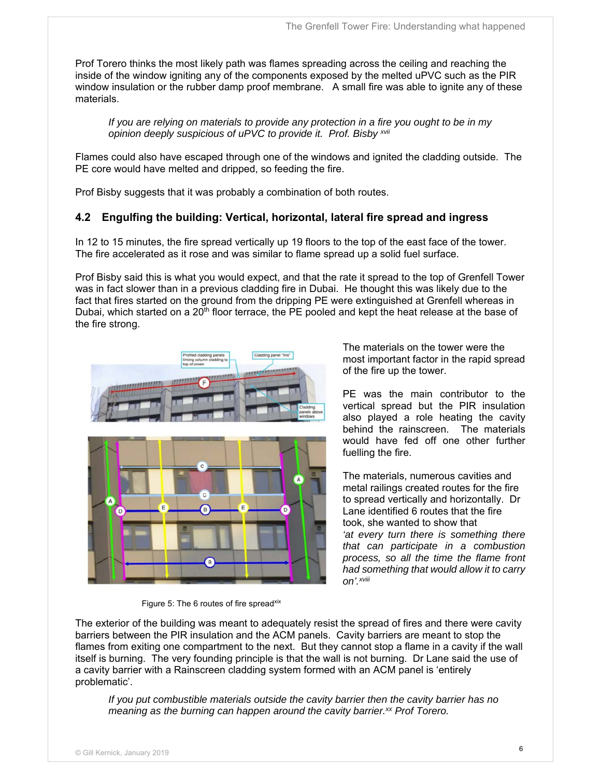Prof Torero thinks the most likely path was flames spreading across the ceiling and reaching the inside of the window igniting any of the components exposed by the melted uPVC such as the PIR window insulation or the rubber damp proof membrane. A small fire was able to ignite any of these materials.

*If you are relying on materials to provide any protection in a fire you ought to be in my opinion deeply suspicious of uPVC to provide it. Prof. Bisby xvii*

Flames could also have escaped through one of the windows and ignited the cladding outside. The PE core would have melted and dripped, so feeding the fire.

Prof Bisby suggests that it was probably a combination of both routes.

#### **4.2 Engulfing the building: Vertical, horizontal, lateral fire spread and ingress**

In 12 to 15 minutes, the fire spread vertically up 19 floors to the top of the east face of the tower. The fire accelerated as it rose and was similar to flame spread up a solid fuel surface.

Prof Bisby said this is what you would expect, and that the rate it spread to the top of Grenfell Tower was in fact slower than in a previous cladding fire in Dubai. He thought this was likely due to the fact that fires started on the ground from the dripping PE were extinguished at Grenfell whereas in Dubai, which started on a 20<sup>th</sup> floor terrace, the PE pooled and kept the heat release at the base of the fire strong.



The materials on the tower were the most important factor in the rapid spread of the fire up the tower.

PE was the main contributor to the vertical spread but the PIR insulation also played a role heating the cavity behind the rainscreen. The materials would have fed off one other further fuelling the fire.

The materials, numerous cavities and metal railings created routes for the fire to spread vertically and horizontally. Dr Lane identified 6 routes that the fire took, she wanted to show that *'at every turn there is something there that can participate in a combustion process, so all the time the flame front had something that would allow it to carry on'.xviii*

Figure 5: The 6 routes of fire spreadxix

The exterior of the building was meant to adequately resist the spread of fires and there were cavity barriers between the PIR insulation and the ACM panels. Cavity barriers are meant to stop the flames from exiting one compartment to the next. But they cannot stop a flame in a cavity if the wall itself is burning. The very founding principle is that the wall is not burning. Dr Lane said the use of a cavity barrier with a Rainscreen cladding system formed with an ACM panel is 'entirely problematic'.

*If you put combustible materials outside the cavity barrier then the cavity barrier has no meaning as the burning can happen around the cavity barrier.xx Prof Torero.*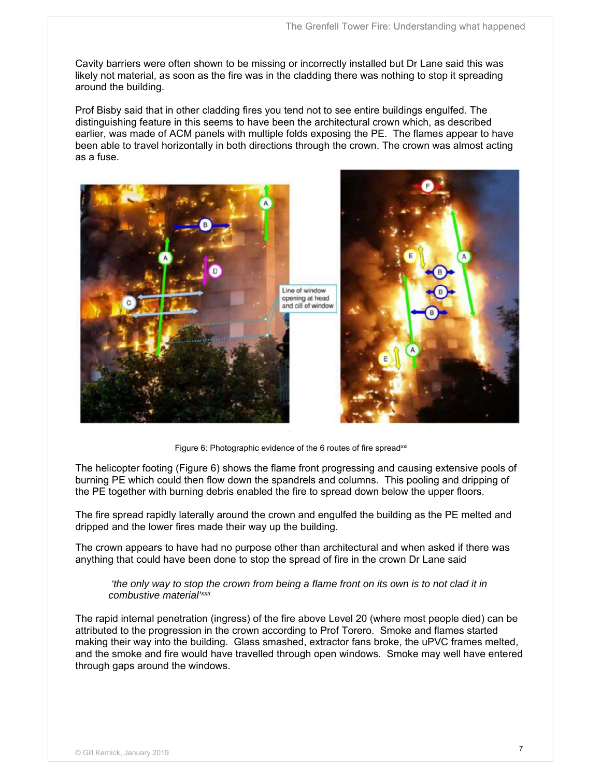Cavity barriers were often shown to be missing or incorrectly installed but Dr Lane said this was likely not material, as soon as the fire was in the cladding there was nothing to stop it spreading around the building.

Prof Bisby said that in other cladding fires you tend not to see entire buildings engulfed. The distinguishing feature in this seems to have been the architectural crown which, as described earlier, was made of ACM panels with multiple folds exposing the PE. The flames appear to have been able to travel horizontally in both directions through the crown. The crown was almost acting as a fuse.



Figure 6: Photographic evidence of the 6 routes of fire spread<sup>xxi</sup>

The helicopter footing (Figure 6) shows the flame front progressing and causing extensive pools of burning PE which could then flow down the spandrels and columns. This pooling and dripping of the PE together with burning debris enabled the fire to spread down below the upper floors.

The fire spread rapidly laterally around the crown and engulfed the building as the PE melted and dripped and the lower fires made their way up the building.

The crown appears to have had no purpose other than architectural and when asked if there was anything that could have been done to stop the spread of fire in the crown Dr Lane said

 *'the only way to stop the crown from being a flame front on its own is to not clad it in combustive material'xxii*

The rapid internal penetration (ingress) of the fire above Level 20 (where most people died) can be attributed to the progression in the crown according to Prof Torero. Smoke and flames started making their way into the building. Glass smashed, extractor fans broke, the uPVC frames melted, and the smoke and fire would have travelled through open windows. Smoke may well have entered through gaps around the windows.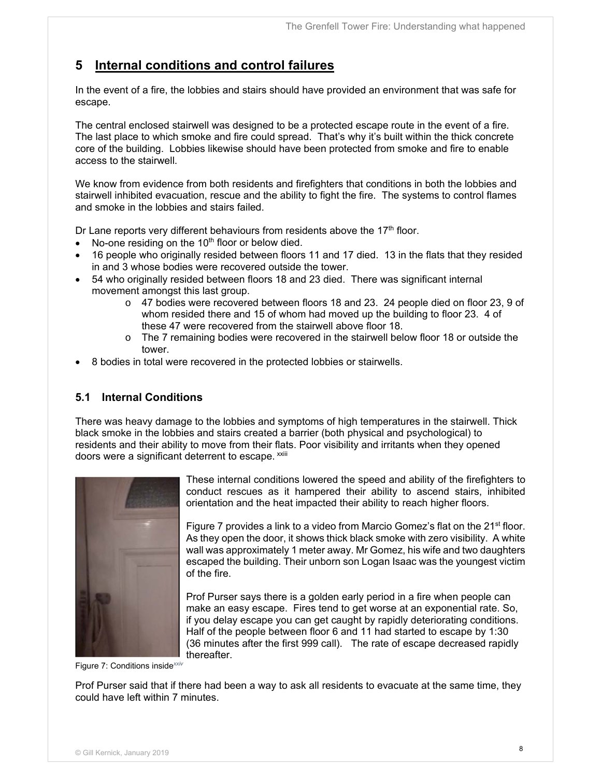## **5 Internal conditions and control failures**

In the event of a fire, the lobbies and stairs should have provided an environment that was safe for escape.

The central enclosed stairwell was designed to be a protected escape route in the event of a fire. The last place to which smoke and fire could spread. That's why it's built within the thick concrete core of the building. Lobbies likewise should have been protected from smoke and fire to enable access to the stairwell.

We know from evidence from both residents and firefighters that conditions in both the lobbies and stairwell inhibited evacuation, rescue and the ability to fight the fire. The systems to control flames and smoke in the lobbies and stairs failed.

Dr Lane reports very different behaviours from residents above the  $17<sup>th</sup>$  floor.

- $\bullet$  No-one residing on the 10<sup>th</sup> floor or below died.
- 16 people who originally resided between floors 11 and 17 died. 13 in the flats that they resided in and 3 whose bodies were recovered outside the tower.
- 54 who originally resided between floors 18 and 23 died. There was significant internal movement amongst this last group.
	- o 47 bodies were recovered between floors 18 and 23. 24 people died on floor 23, 9 of whom resided there and 15 of whom had moved up the building to floor 23. 4 of these 47 were recovered from the stairwell above floor 18.
	- $\circ$  The 7 remaining bodies were recovered in the stairwell below floor 18 or outside the tower.
- 8 bodies in total were recovered in the protected lobbies or stairwells.

#### **5.1 Internal Conditions**

There was heavy damage to the lobbies and symptoms of high temperatures in the stairwell. Thick black smoke in the lobbies and stairs created a barrier (both physical and psychological) to residents and their ability to move from their flats. Poor visibility and irritants when they opened doors were a significant deterrent to escape. **xxiii** 



These internal conditions lowered the speed and ability of the firefighters to conduct rescues as it hampered their ability to ascend stairs, inhibited orientation and the heat impacted their ability to reach higher floors.

Figure 7 provides a [link to a video](https://www.grenfelltowerinquiry.org.uk/file/2305/download?token=Mewkmf2E) from Marcio Gomez's flat on the 21<sup>st</sup> floor. As they open the door, it shows thick black smoke with zero visibility. A white wall was approximately 1 meter away. Mr Gomez, his wife and two daughters escaped the building. Their unborn son Logan Isaac was the youngest victim of the fire.

Prof Purser says there is a golden early period in a fire when people can make an easy escape. Fires tend to get worse at an exponential rate. So, if you delay escape you can get caught by rapidly deteriorating conditions. Half of the people between floor 6 and 11 had started to escape by 1:30 (36 minutes after the first 999 call). The rate of escape decreased rapidly thereafter.

Figure 7: Conditions inside*xxiv*

Prof Purser said that if there had been a way to ask all residents to evacuate at the same time, they could have left within 7 minutes.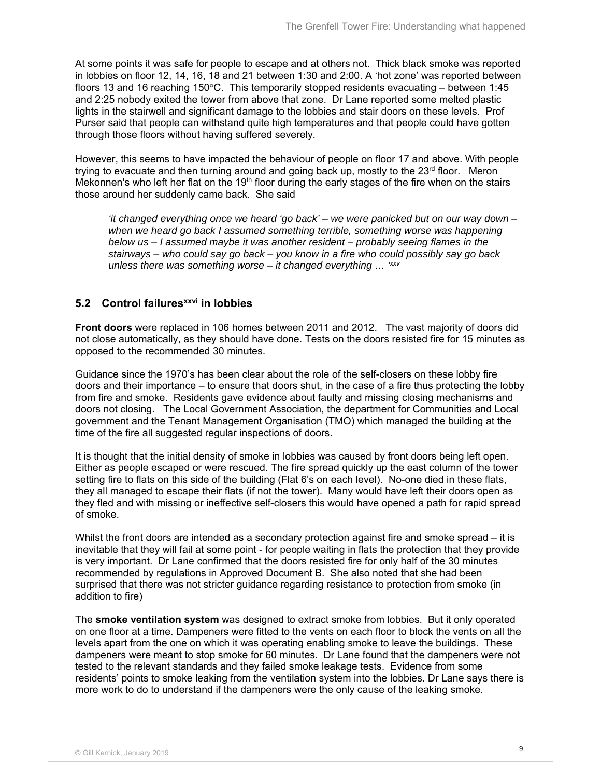At some points it was safe for people to escape and at others not. Thick black smoke was reported in lobbies on floor 12, 14, 16, 18 and 21 between 1:30 and 2:00. A 'hot zone' was reported between floors 13 and 16 reaching 150 $\degree$ C. This temporarily stopped residents evacuating – between 1:45 and 2:25 nobody exited the tower from above that zone. Dr Lane reported some melted plastic lights in the stairwell and significant damage to the lobbies and stair doors on these levels. Prof Purser said that people can withstand quite high temperatures and that people could have gotten through those floors without having suffered severely.

However, this seems to have impacted the behaviour of people on floor 17 and above. With people trying to evacuate and then turning around and going back up, mostly to the  $23<sup>rd</sup>$  floor. Meron Mekonnen's who left her flat on the 19<sup>th</sup> floor during the early stages of the fire when on the stairs those around her suddenly came back. She said

*'it changed everything once we heard 'go back' – we were panicked but on our way down – when we heard go back I assumed something terrible, something worse was happening below us – I assumed maybe it was another resident – probably seeing flames in the stairways – who could say go back – you know in a fire who could possibly say go back unless there was something worse – it changed everything … 'xxv*

#### **5.2 Control failuresxxvi in lobbies**

**Front doors** were replaced in 106 homes between 2011 and 2012. The vast majority of doors did not close automatically, as they should have done. Tests on the doors resisted fire for 15 minutes as opposed to the recommended 30 minutes.

Guidance since the 1970's has been clear about the role of the self-closers on these lobby fire doors and their importance – to ensure that doors shut, in the case of a fire thus protecting the lobby from fire and smoke. Residents gave evidence about faulty and missing closing mechanisms and doors not closing. The Local Government Association, the department for Communities and Local government and the Tenant Management Organisation (TMO) which managed the building at the time of the fire all suggested regular inspections of doors.

It is thought that the initial density of smoke in lobbies was caused by front doors being left open. Either as people escaped or were rescued. The fire spread quickly up the east column of the tower setting fire to flats on this side of the building (Flat 6's on each level). No-one died in these flats, they all managed to escape their flats (if not the tower). Many would have left their doors open as they fled and with missing or ineffective self-closers this would have opened a path for rapid spread of smoke.

Whilst the front doors are intended as a secondary protection against fire and smoke spread – it is inevitable that they will fail at some point - for people waiting in flats the protection that they provide is very important. Dr Lane confirmed that the doors resisted fire for only half of the 30 minutes recommended by regulations in Approved Document B. She also noted that she had been surprised that there was not stricter guidance regarding resistance to protection from smoke (in addition to fire)

The **smoke ventilation system** was designed to extract smoke from lobbies. But it only operated on one floor at a time. Dampeners were fitted to the vents on each floor to block the vents on all the levels apart from the one on which it was operating enabling smoke to leave the buildings. These dampeners were meant to stop smoke for 60 minutes. Dr Lane found that the dampeners were not tested to the relevant standards and they failed smoke leakage tests. Evidence from some residents' points to smoke leaking from the ventilation system into the lobbies. Dr Lane says there is more work to do to understand if the dampeners were the only cause of the leaking smoke.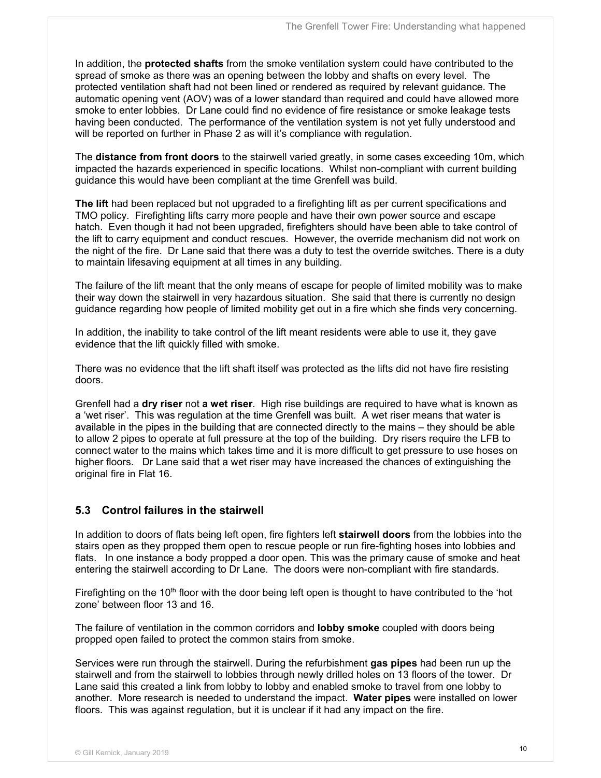In addition, the **protected shafts** from the smoke ventilation system could have contributed to the spread of smoke as there was an opening between the lobby and shafts on every level. The protected ventilation shaft had not been lined or rendered as required by relevant guidance. The automatic opening vent (AOV) was of a lower standard than required and could have allowed more smoke to enter lobbies. Dr Lane could find no evidence of fire resistance or smoke leakage tests having been conducted. The performance of the ventilation system is not yet fully understood and will be reported on further in Phase 2 as will it's compliance with regulation.

The **distance from front doors** to the stairwell varied greatly, in some cases exceeding 10m, which impacted the hazards experienced in specific locations. Whilst non-compliant with current building guidance this would have been compliant at the time Grenfell was build.

**The lift** had been replaced but not upgraded to a firefighting lift as per current specifications and TMO policy. Firefighting lifts carry more people and have their own power source and escape hatch. Even though it had not been upgraded, firefighters should have been able to take control of the lift to carry equipment and conduct rescues. However, the override mechanism did not work on the night of the fire. Dr Lane said that there was a duty to test the override switches. There is a duty to maintain lifesaving equipment at all times in any building.

The failure of the lift meant that the only means of escape for people of limited mobility was to make their way down the stairwell in very hazardous situation. She said that there is currently no design guidance regarding how people of limited mobility get out in a fire which she finds very concerning.

In addition, the inability to take control of the lift meant residents were able to use it, they gave evidence that the lift quickly filled with smoke.

There was no evidence that the lift shaft itself was protected as the lifts did not have fire resisting doors.

Grenfell had a **dry riser** not **a wet riser**. High rise buildings are required to have what is known as a 'wet riser'. This was regulation at the time Grenfell was built. A wet riser means that water is available in the pipes in the building that are connected directly to the mains – they should be able to allow 2 pipes to operate at full pressure at the top of the building. Dry risers require the LFB to connect water to the mains which takes time and it is more difficult to get pressure to use hoses on higher floors. Dr Lane said that a wet riser may have increased the chances of extinguishing the original fire in Flat 16.

#### **5.3 Control failures in the stairwell**

In addition to doors of flats being left open, fire fighters left **stairwell doors** from the lobbies into the stairs open as they propped them open to rescue people or run fire-fighting hoses into lobbies and flats. In one instance a body propped a door open. This was the primary cause of smoke and heat entering the stairwell according to Dr Lane. The doors were non-compliant with fire standards.

Firefighting on the 10<sup>th</sup> floor with the door being left open is thought to have contributed to the 'hot zone' between floor 13 and 16.

The failure of ventilation in the common corridors and **lobby smoke** coupled with doors being propped open failed to protect the common stairs from smoke.

Services were run through the stairwell. During the refurbishment **gas pipes** had been run up the stairwell and from the stairwell to lobbies through newly drilled holes on 13 floors of the tower. Dr Lane said this created a link from lobby to lobby and enabled smoke to travel from one lobby to another. More research is needed to understand the impact. **Water pipes** were installed on lower floors. This was against regulation, but it is unclear if it had any impact on the fire.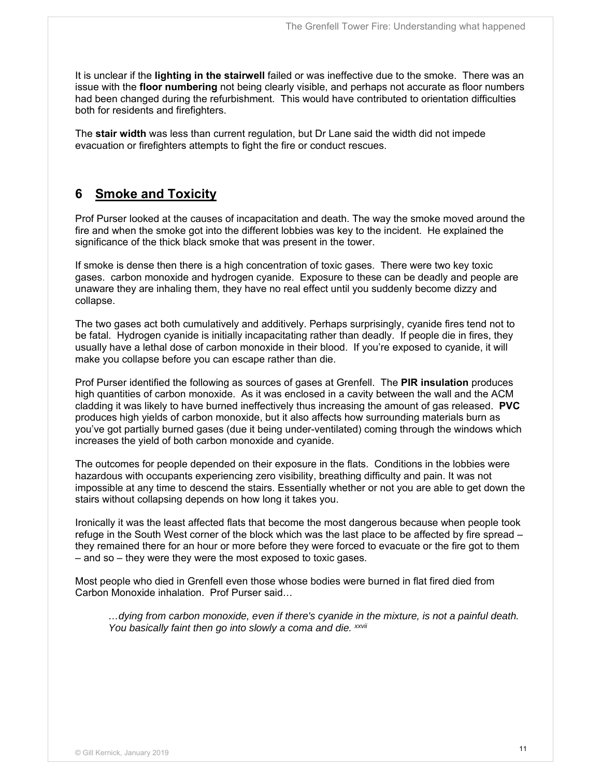It is unclear if the **lighting in the stairwell** failed or was ineffective due to the smoke. There was an issue with the **floor numbering** not being clearly visible, and perhaps not accurate as floor numbers had been changed during the refurbishment. This would have contributed to orientation difficulties both for residents and firefighters.

The **stair width** was less than current regulation, but Dr Lane said the width did not impede evacuation or firefighters attempts to fight the fire or conduct rescues.

## **6 Smoke and Toxicity**

Prof Purser looked at the causes of incapacitation and death. The way the smoke moved around the fire and when the smoke got into the different lobbies was key to the incident. He explained the significance of the thick black smoke that was present in the tower.

If smoke is dense then there is a high concentration of toxic gases. There were two key toxic gases. carbon monoxide and hydrogen cyanide. Exposure to these can be deadly and people are unaware they are inhaling them, they have no real effect until you suddenly become dizzy and collapse.

The two gases act both cumulatively and additively. Perhaps surprisingly, cyanide fires tend not to be fatal. Hydrogen cyanide is initially incapacitating rather than deadly. If people die in fires, they usually have a lethal dose of carbon monoxide in their blood. If you're exposed to cyanide, it will make you collapse before you can escape rather than die.

Prof Purser identified the following as sources of gases at Grenfell. The **PIR insulation** produces high quantities of carbon monoxide. As it was enclosed in a cavity between the wall and the ACM cladding it was likely to have burned ineffectively thus increasing the amount of gas released. **PVC**  produces high yields of carbon monoxide, but it also affects how surrounding materials burn as you've got partially burned gases (due it being under-ventilated) coming through the windows which increases the yield of both carbon monoxide and cyanide.

The outcomes for people depended on their exposure in the flats. Conditions in the lobbies were hazardous with occupants experiencing zero visibility, breathing difficulty and pain. It was not impossible at any time to descend the stairs. Essentially whether or not you are able to get down the stairs without collapsing depends on how long it takes you.

Ironically it was the least affected flats that become the most dangerous because when people took refuge in the South West corner of the block which was the last place to be affected by fire spread – they remained there for an hour or more before they were forced to evacuate or the fire got to them – and so – they were they were the most exposed to toxic gases.

Most people who died in Grenfell even those whose bodies were burned in flat fired died from Carbon Monoxide inhalation. Prof Purser said*…* 

*…dying from carbon monoxide, even if there's cyanide in the mixture, is not a painful death.*  You basically faint then go into slowly a coma and die. *xxvii*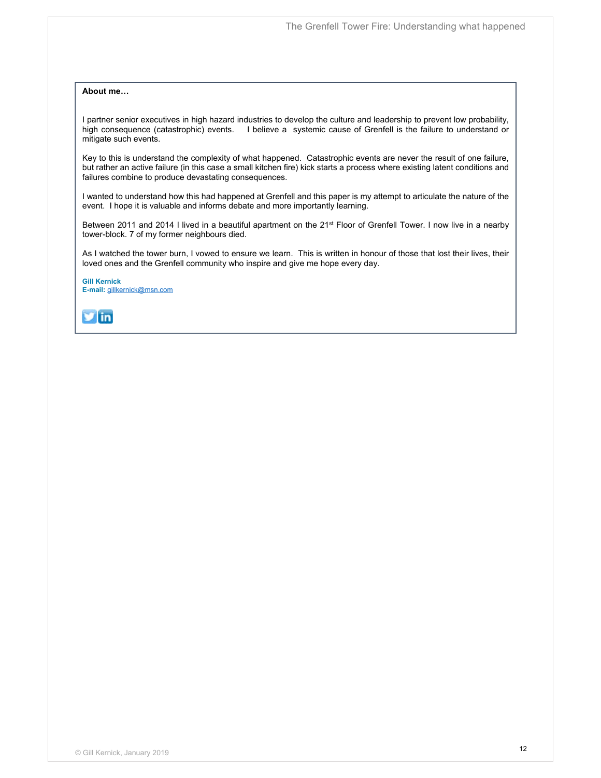#### **About me…**

I partner senior executives in high hazard industries to develop the culture and leadership to prevent low probability, high consequence (catastrophic) events. I believe a systemic cause of Grenfell is the failure to understand or mitigate such events.

Key to this is understand the complexity of what happened. Catastrophic events are never the result of one failure, but rather an active failure (in this case a small kitchen fire) kick starts a process where existing latent conditions and failures combine to produce devastating consequences.

I wanted to understand how this had happened at Grenfell and this paper is my attempt to articulate the nature of the event. I hope it is valuable and informs debate and more importantly learning.

Between 2011 and 2014 I lived in a beautiful apartment on the 21<sup>st</sup> Floor of Grenfell Tower. I now live in a nearby tower-block. 7 of my former neighbours died.

As I watched the tower burn, I vowed to ensure we learn. This is written in honour of those that lost their lives, their loved ones and the Grenfell community who inspire and give me hope every day.

**Gill Kernick E-mail:** gillkernick@msn.com